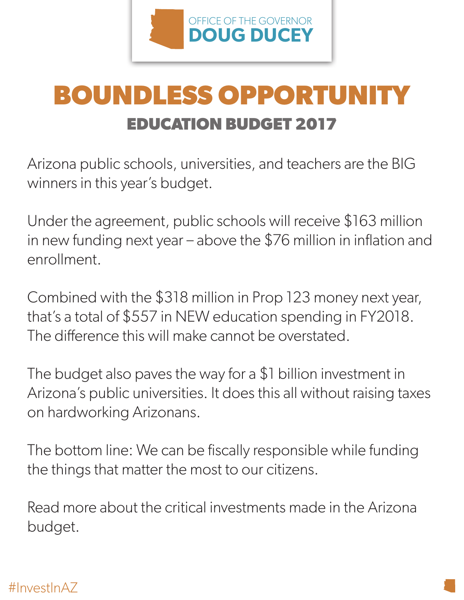

## **EDUCATION BUDGET 2017 BOUNDLESS OPPORTUNITY**

Arizona public schools, universities, and teachers are the BIG winners in this year's budget.

Under the agreement, public schools will receive \$163 million in new funding next year – above the \$76 million in inflation and enrollment.

Combined with the \$318 million in Prop 123 money next year, that's a total of \$557 in NEW education spending in FY2018. The difference this will make cannot be overstated.

The budget also paves the way for a \$1 billion investment in Arizona's public universities. It does this all without raising taxes on hardworking Arizonans.

The bottom line: We can be fiscally responsible while funding the things that matter the most to our citizens.

Read more about the critical investments made in the Arizona budget.

## #InvestInAZ